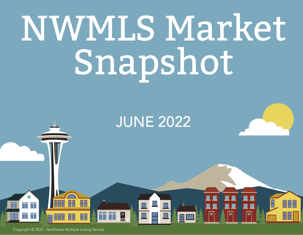# NWMLS Market Snapshot

#### JUNE 2022

 $\begin{array}{|c|} \hline \hline \hline \hline \hline \hline \hline \hline \end{array}$ 

Copyright © 2022 - Northwest Multiple Listing Service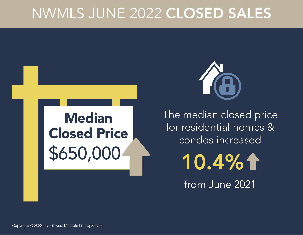#### NWMLS JUNE 2022 CLOSED SALES





The median closed price for residential homes & condos increased

10.4%1

from June 2021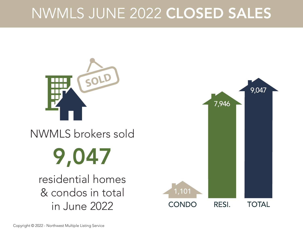#### NWMLS JUNE 2022 CLOSED SALES



#### NWMLS brokers sold

## 9,047

residential homes & condos in total in June 2022

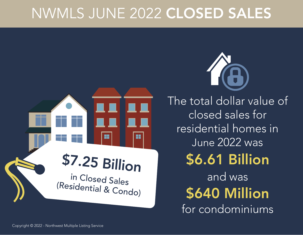#### NWMLS JUNE 2022 CLOSED SALES



The total dollar value of closed sales for residential homes in June 2022 was \$6.61 Billion and was for condominiums \$640 Million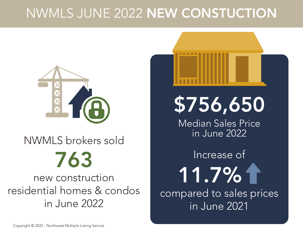#### NWMLS JUNE 2022 NEW CONSTUCTION

![](_page_4_Picture_1.jpeg)

## 763 NWMLS brokers sold

new construction residential homes & condos in June 2022

![](_page_4_Picture_4.jpeg)

\$756,650

Median Sales Price in June 2022

compared to sales prices in June 2021 Increase of 11.7%1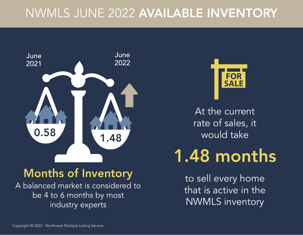#### NWMLS JUNE 2022 AVAILABLE INVENTORY

![](_page_5_Picture_1.jpeg)

#### Months of Inventory

A balanced market is considered to be 4 to 6 months by most industry experts

![](_page_5_Picture_4.jpeg)

At the current rate of sales, it would take

### 1.48 months

to sell every home that is active in the NWMLS inventory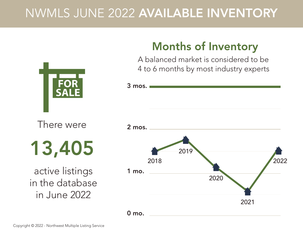#### NWMLS JUNE 2022 AVAILABLE INVENTORY

3 mos.

![](_page_6_Picture_1.jpeg)

There were

13,405

active listings in the database in June 2022

![](_page_6_Figure_5.jpeg)

#### **Months of Inventory**

A balanced market is considered to be 4 to 6 months by most industry experts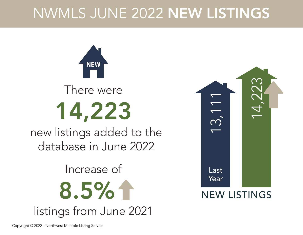#### NWMLS JUNE 2022 NEW LISTINGS

![](_page_7_Picture_1.jpeg)

![](_page_7_Picture_2.jpeg)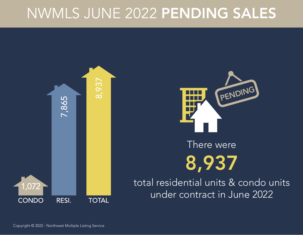#### NWMLS JUNE 2022 PENDING SALES

![](_page_8_Picture_1.jpeg)

![](_page_8_Picture_2.jpeg)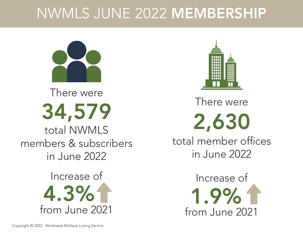#### NWMLS JUNE 2022 MEMBERSHIP

![](_page_9_Picture_1.jpeg)

34,579 There were

total NWMLS members & subscribers in June 2022

> from June 2021 Increase of 4.3%

![](_page_9_Picture_5.jpeg)

2,630 There were total member offices in June 2022

> 1.9% from June 2021 Increase of